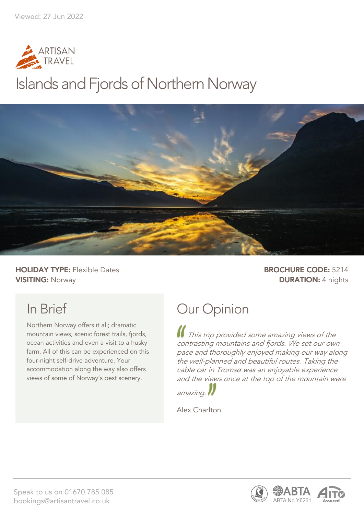

## Islands and Fjords of Northern Norway



**HOLIDAY TYPE:** Flexible Dates **BROCHURE CODE:** 5214 **VISITING:** Norway **DURATION:** 4 nights

## In Brief

Northern Norway offers it all; dramatic mountain views, scenic forest trails, fjords, ocean activities and even a visit to a husky farm. All of this can be experienced on this four-night self-drive adventure. Your accommodation along the way also offers views of some of Norway's best scenery.

### Our Opinion

This trip provided some amazing views of the contrasting mountains and fjords. We set our own pace and thoroughly enjoyed making our way along the well-planned and beautiful routes. Taking the cable car in Tromsø was an enjoyable experience and the views once at the top of the mountain were



Alex Charlton



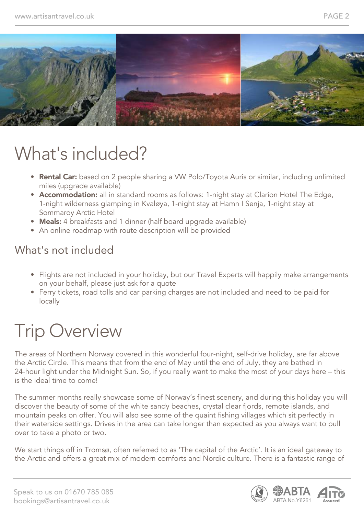

## What's included?

- Rental Car: based on 2 people sharing a VW Polo/Toyota Auris or similar, including unlimited miles (upgrade available)
- Accommodation: all in standard rooms as follows: 1-night stay at Clarion Hotel The Edge, 1-night wilderness glamping in Kvaløya, 1-night stay at Hamn I Senja, 1-night stay at Sommaroy Arctic Hotel
- Meals: 4 breakfasts and 1 dinner (half board upgrade available)
- An online roadmap with route description will be provided

#### What's not included

- Flights are not included in your holiday, but our Travel Experts will happily make arrangements on your behalf, please just ask for a quote
- Ferry tickets, road tolls and car parking charges are not included and need to be paid for locally

## Trip Overview

The areas of Northern Norway covered in this wonderful four-night, self-drive holiday, are far above the Arctic Circle. This means that from the end of May until the end of July, they are bathed in 24-hour light under the Midnight Sun. So, if you really want to make the most of your days here – this is the ideal time to come!

The summer months really showcase some of Norway's finest scenery, and during this holiday you will discover the beauty of some of the white sandy beaches, crystal clear fiords, remote islands, and mountain peaks on offer. You will also see some of the quaint fishing villages which sit perfectly in their waterside settings. Drives in the area can take longer than expected as you always want to pull over to take a photo or two.

We start things off in Tromsø, often referred to as 'The capital of the Arctic'. It is an ideal gateway to the Arctic and offers a great mix of modern comforts and Nordic culture. There is a fantastic range of



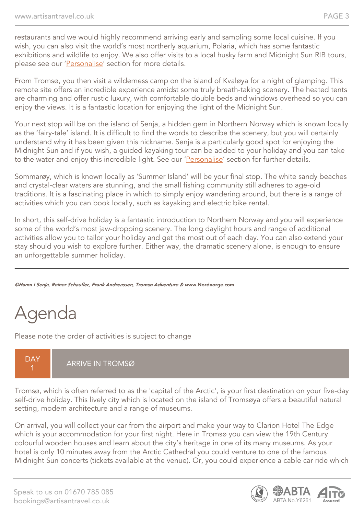restaurants and we would highly recommend arriving early and sampling some local cuisine. If you wish, you can also visit the world's most northerly aquarium, Polaria, which has some fantastic exhibitions and wildlife to enjoy. We also offer visits to a local husky farm and Midnight Sun RIB tours, please see our 'Personalise' section for more details.

From Tromsø, you then visit a wilderness camp on the island of Kvaløya for a night of glamping. This remote site offers an incredible experience amidst some truly breath-taking scenery. The heated tents are charming and offer rustic luxury, with comfortable double beds and windows overhead so you can enjoy the views. It is a fantastic location for enjoying the light of the Midnight Sun.

Your next stop will be on the island of Senja, a hidden gem in Northern Norway which is known locally as the 'fairy-tale' island. It is difficult to find the words to describe the scenery, but you will certainly understand why it has been given this nickname. Senja is a particularly good spot for enjoying the Midnight Sun and if you wish, a guided kayaking tour can be added to your holiday and you can take to the water and enjoy this incredible light. See our 'Personalise' section for further details.

Sommarøy, which is known locally as 'Summer Island' will be your final stop. The white sandy beaches and crystal-clear waters are stunning, and the small fishing community still adheres to age-old traditions. It is a fascinating place in which to simply enjoy wandering around, but there is a range of activities which you can book locally, such as kayaking and electric bike rental.

In short, this self-drive holiday is a fantastic introduction to Northern Norway and you will experience some of the world's most jaw-dropping scenery. The long daylight hours and range of additional activities allow you to tailor your holiday and get the most out of each day. You can also extend your stay should you wish to explore further. Either way, the dramatic scenery alone, is enough to ensure an unforgettable summer holiday.

©Hamn I Senja, Reiner Schaufler, Frank Andreassen, Tromsø Adventure & www.Nordnorge.com

## Agenda

Please note the order of activities is subject to change

#### **DAY** 1 ARRIVE IN TROMSØ

Tromsø, which is often referred to as the 'capital of the Arctic', is your first destination on your five-day self-drive holiday. This lively city which is located on the island of Tromsøya offers a beautiful natural setting, modern architecture and a range of museums.

On arrival, you will collect your car from the airport and make your way to Clarion Hotel The Edge which is your accommodation for your first night. Here in Tromsø you can view the 19th Century colourful wooden houses and learn about the city's heritage in one of its many museums. As your hotel is only 10 minutes away from the Arctic Cathedral you could venture to one of the famous Midnight Sun concerts (tickets available at the venue). Or, you could experience a cable car ride which

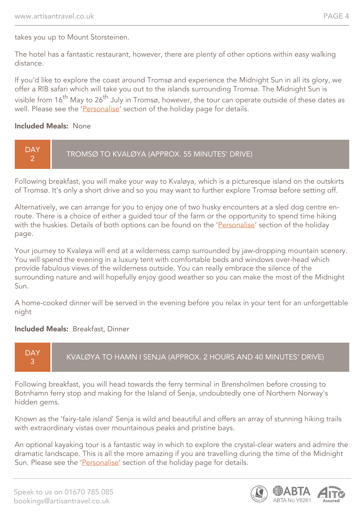takes you up to Mount Storsteinen.

The hotel has a fantastic restaurant, however, there are plenty of other options within easy walking distance.

If you'd like to explore the coast around Tromsø and experience the Midnight Sun in all its glory, we offer a RIB safari which will take you out to the islands surrounding Tromsø. The Midnight Sun is visible from 16<sup>th</sup> May to 26<sup>th</sup> July in Tromsø, however, the tour can operate outside of these dates as well. Please see the 'Personalise' section of the holiday page for details.

#### Included Meals: None



Following breakfast, you will make your way to Kvaløya, which is a picturesque island on the outskirts of Tromsø. It's only a short drive and so you may want to further explore Tromsø before setting off.

Alternatively, we can arrange for you to enjoy one of two husky encounters at a sled dog centre enroute. There is a choice of either a guided tour of the farm or the opportunity to spend time hiking with the huskies. Details of both options can be found on the 'Personalise' section of the holiday page.

Your journey to Kvaløya will end at a wilderness camp surrounded by jaw-dropping mountain scenery. You will spend the evening in a luxury tent with comfortable beds and windows over-head which provide fabulous views of the wilderness outside. You can really embrace the silence of the surrounding nature and will hopefully enjoy good weather so you can make the most of the Midnight  $S<sub>lim</sub>$ 

A home-cooked dinner will be served in the evening before you relax in your tent for an unforgettable night

#### Included Meals: Breakfast, Dinner



Following breakfast, you will head towards the ferry terminal in Brensholmen before crossing to Botnhamn ferry stop and making for the Island of Senja, undoubtedly one of Northern Norway's hidden gems.

Known as the 'fairy-tale island' Senja is wild and beautiful and offers an array of stunning hiking trails with extraordinary vistas over mountainous peaks and pristine bays.

An optional kayaking tour is a fantastic way in which to explore the crystal-clear waters and admire the dramatic landscape. This is all the more amazing if you are travelling during the time of the Midnight Sun. Please see the 'Personalise' section of the holiday page for details.

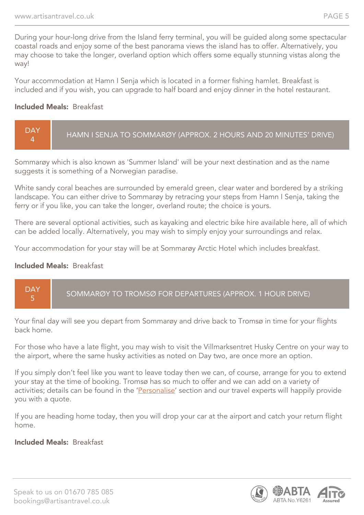During your hour-long drive from the Island ferry terminal, you will be guided along some spectacular coastal roads and enjoy some of the best panorama views the island has to offer. Alternatively, you may choose to take the longer, overland option which offers some equally stunning vistas along the way!

Your accommodation at Hamn I Senja which is located in a former fishing hamlet. Breakfast is included and if you wish, you can upgrade to half board and enjoy dinner in the hotel restaurant.

#### Included Meals: Breakfast



Sommarøy which is also known as 'Summer Island' will be your next destination and as the name suggests it is something of a Norwegian paradise.

White sandy coral beaches are surrounded by emerald green, clear water and bordered by a striking landscape. You can either drive to Sommarøy by retracing your steps from Hamn I Senja, taking the ferry or if you like, you can take the longer, overland route; the choice is yours.

There are several optional activities, such as kayaking and electric bike hire available here, all of which can be added locally. Alternatively, you may wish to simply enjoy your surroundings and relax.

Your accommodation for your stay will be at Sommarøy Arctic Hotel which includes breakfast.

#### Included Meals: Breakfast



Your final day will see you depart from Sommarøy and drive back to Tromsø in time for your flights back home.

For those who have a late flight, you may wish to visit the Villmarksentret Husky Centre on your way to the airport, where the same husky activities as noted on Day two, are once more an option.

If you simply don't feel like you want to leave today then we can, of course, arrange for you to extend your stay at the time of booking. Tromsø has so much to offer and we can add on a variety of activities; details can be found in the 'Personalise' section and our travel experts will happily provide you with a quote.

If you are heading home today, then you will drop your car at the airport and catch your return flight home.

#### Included Meals: Breakfast

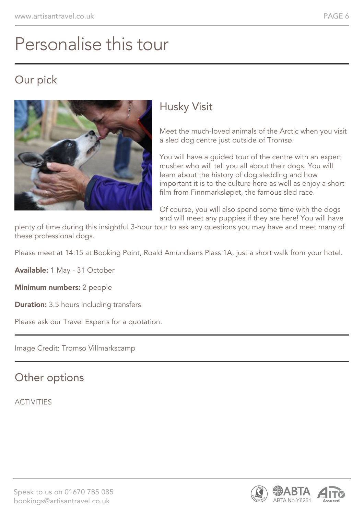## Personalise this tour

#### Our pick



### Husky Visit

Meet the much-loved animals of the Arctic when you visit a sled dog centre just outside of Tromsø.

You will have a guided tour of the centre with an expert musher who will tell you all about their dogs. You will learn about the history of dog sledding and how important it is to the culture here as well as enjoy a short film from Finnmarksløpet, the famous sled race.

Of course, you will also spend some time with the dogs and will meet any puppies if they are here! You will have

plenty of time during this insightful 3-hour tour to ask any questions you may have and meet many of these professional dogs.

Please meet at 14:15 at Booking Point, Roald Amundsens Plass 1A, just a short walk from your hotel.

Available: 1 May - 31 October

Minimum numbers: 2 people

**Duration:** 3.5 hours including transfers

Please ask our Travel Experts for a quotation.

Image Credit: Tromso Villmarkscamp

#### Other options

ACTIVITIES

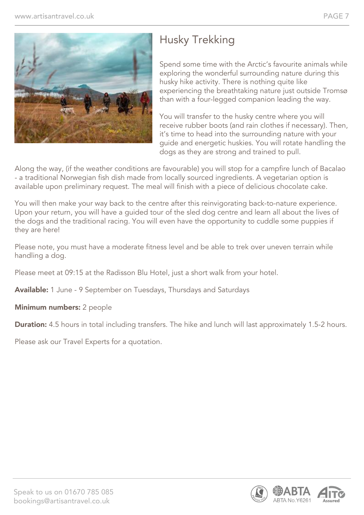

### Husky Trekking

Spend some time with the Arctic's favourite animals while exploring the wonderful surrounding nature during this husky hike activity. There is nothing quite like experiencing the breathtaking nature just outside Tromsø than with a four-legged companion leading the way.

You will transfer to the husky centre where you will receive rubber boots (and rain clothes if necessary). Then, it's time to head into the surrounding nature with your guide and energetic huskies. You will rotate handling the dogs as they are strong and trained to pull.

Along the way, (if the weather conditions are favourable) you will stop for a campfire lunch of Bacalao - a traditional Norwegian fish dish made from locally sourced ingredients. A vegetarian option is available upon preliminary request. The meal will finish with a piece of delicious chocolate cake.

You will then make your way back to the centre after this reinvigorating back-to-nature experience. Upon your return, you will have a guided tour of the sled dog centre and learn all about the lives of the dogs and the traditional racing. You will even have the opportunity to cuddle some puppies if they are here!

Please note, you must have a moderate fitness level and be able to trek over uneven terrain while handling a dog.

Please meet at 09:15 at the Radisson Blu Hotel, just a short walk from your hotel.

Available: 1 June - 9 September on Tuesdays, Thursdays and Saturdays

Minimum numbers: 2 people

**Duration:** 4.5 hours in total including transfers. The hike and lunch will last approximately 1.5-2 hours.

Please ask our Travel Experts for a quotation.

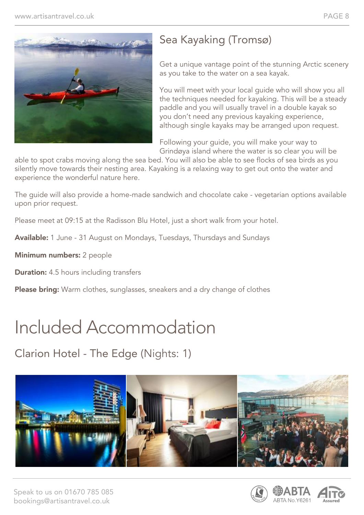

### Sea Kayaking (Tromsø)

Get a unique vantage point of the stunning Arctic scenery as you take to the water on a sea kayak.

You will meet with your local guide who will show you all the techniques needed for kayaking. This will be a steady paddle and you will usually travel in a double kayak so you don't need any previous kayaking experience, although single kayaks may be arranged upon request.

Following your guide, you will make your way to Grindøya island where the water is so clear you will be

able to spot crabs moving along the sea bed. You will also be able to see flocks of sea birds as you silently move towards their nesting area. Kayaking is a relaxing way to get out onto the water and experience the wonderful nature here.

The guide will also provide a home-made sandwich and chocolate cake - vegetarian options available upon prior request.

Please meet at 09:15 at the Radisson Blu Hotel, just a short walk from your hotel.

Available: 1 June - 31 August on Mondays, Tuesdays, Thursdays and Sundays

Minimum numbers: 2 people

**Duration:** 4.5 hours including transfers

**Please bring:** Warm clothes, sunglasses, sneakers and a dry change of clothes

## Included Accommodation

Clarion Hotel - The Edge (Nights: 1)



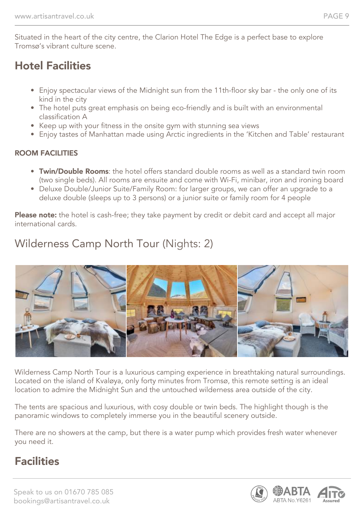Situated in the heart of the city centre, the Clarion Hotel The Edge is a perfect base to explore Tromsø's vibrant culture scene.

#### Hotel Facilities

- Enjoy spectacular views of the Midnight sun from the 11th-floor sky bar the only one of its kind in the city
- The hotel puts great emphasis on being eco-friendly and is built with an environmental classification A
- Keep up with your fitness in the onsite gym with stunning sea views
- Enjoy tastes of Manhattan made using Arctic ingredients in the 'Kitchen and Table' restaurant

#### ROOM FACILITIES

- Twin/Double Rooms: the hotel offers standard double rooms as well as a standard twin room (two single beds). All rooms are ensuite and come with Wi-Fi, minibar, iron and ironing board
- Deluxe Double/Junior Suite/Family Room: for larger groups, we can offer an upgrade to a deluxe double (sleeps up to 3 persons) or a junior suite or family room for 4 people

Please note: the hotel is cash-free; they take payment by credit or debit card and accept all major international cards.

### Wilderness Camp North Tour (Nights: 2)



Wilderness Camp North Tour is a luxurious camping experience in breathtaking natural surroundings. Located on the island of Kvaløya, only forty minutes from Tromsø, this remote setting is an ideal location to admire the Midnight Sun and the untouched wilderness area outside of the city.

The tents are spacious and luxurious, with cosy double or twin beds. The highlight though is the panoramic windows to completely immerse you in the beautiful scenery outside.

There are no showers at the camp, but there is a water pump which provides fresh water whenever you need it.

### **Facilities**

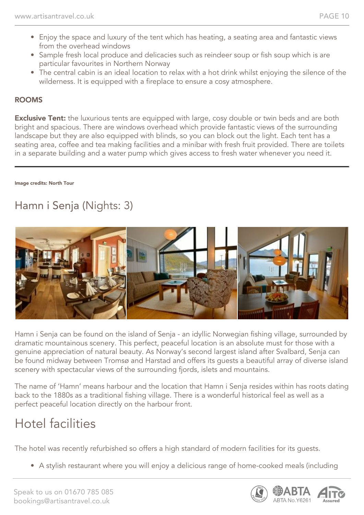- Enjoy the space and luxury of the tent which has heating, a seating area and fantastic views from the overhead windows
- Sample fresh local produce and delicacies such as reindeer soup or fish soup which is are particular favourites in Northern Norway
- The central cabin is an ideal location to relax with a hot drink whilst enjoying the silence of the wilderness. It is equipped with a fireplace to ensure a cosy atmosphere.

#### ROOMS

**Exclusive Tent:** the luxurious tents are equipped with large, cosy double or twin beds and are both bright and spacious. There are windows overhead which provide fantastic views of the surrounding landscape but they are also equipped with blinds, so you can block out the light. Each tent has a seating area, coffee and tea making facilities and a minibar with fresh fruit provided. There are toilets in a separate building and a water pump which gives access to fresh water whenever you need it.

Image credits: North Tour

### Hamn i Senja (Nights: 3)



Hamn i Senja can be found on the island of Senja - an idyllic Norwegian fishing village, surrounded by dramatic mountainous scenery. This perfect, peaceful location is an absolute must for those with a genuine appreciation of natural beauty. As Norway's second largest island after Svalbard, Senja can be found midway between Tromsø and Harstad and offers its guests a beautiful array of diverse island scenery with spectacular views of the surrounding fjords, islets and mountains.

The name of 'Hamn' means harbour and the location that Hamn i Senja resides within has roots dating back to the 1880s as a traditional fishing village. There is a wonderful historical feel as well as a perfect peaceful location directly on the harbour front.

### Hotel facilities

The hotel was recently refurbished so offers a high standard of modern facilities for its guests.

• A stylish restaurant where you will enjoy a delicious range of home-cooked meals (including

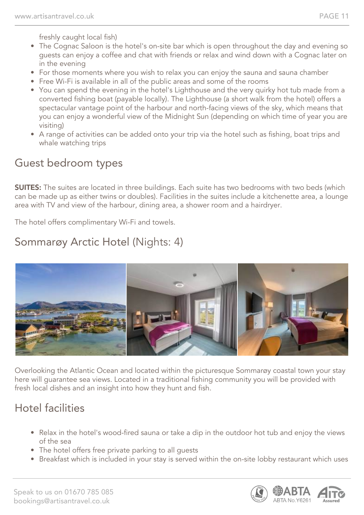freshly caught local fish)

- The Cognac Saloon is the hotel's on-site bar which is open throughout the day and evening so guests can enjoy a coffee and chat with friends or relax and wind down with a Cognac later on in the evening
- For those moments where you wish to relax you can enjoy the sauna and sauna chamber
- Free Wi-Fi is available in all of the public areas and some of the rooms
- You can spend the evening in the hotel's Lighthouse and the very quirky hot tub made from a converted fishing boat (payable locally). The Lighthouse (a short walk from the hotel) offers a spectacular vantage point of the harbour and north-facing views of the sky, which means that you can enjoy a wonderful view of the Midnight Sun (depending on which time of year you are visiting)
- A range of activities can be added onto your trip via the hotel such as fishing, boat trips and whale watching trips

#### Guest bedroom types

**SUITES:** The suites are located in three buildings. Each suite has two bedrooms with two beds (which can be made up as either twins or doubles). Facilities in the suites include a kitchenette area, a lounge area with TV and view of the harbour, dining area, a shower room and a hairdryer.

The hotel offers complimentary Wi-Fi and towels.

### Sommarøy Arctic Hotel (Nights: 4)



Overlooking the Atlantic Ocean and located within the picturesque Sommarøy coastal town your stay here will guarantee sea views. Located in a traditional fishing community you will be provided with fresh local dishes and an insight into how they hunt and fish.

### Hotel facilities

- Relax in the hotel's wood-fired sauna or take a dip in the outdoor hot tub and enjoy the views of the sea
- The hotel offers free private parking to all guests
- Breakfast which is included in your stay is served within the on-site lobby restaurant which uses

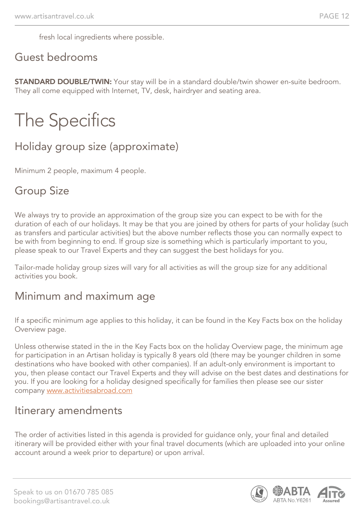fresh local ingredients where possible.

#### Guest bedrooms

**STANDARD DOUBLE/TWIN:** Your stay will be in a standard double/twin shower en-suite bedroom. They all come equipped with Internet, TV, desk, hairdryer and seating area.

# The Specifics

#### Holiday group size (approximate)

Minimum 2 people, maximum 4 people.

#### Group Size

We always try to provide an approximation of the group size you can expect to be with for the duration of each of our holidays. It may be that you are joined by others for parts of your holiday (such as transfers and particular activities) but the above number reflects those you can normally expect to be with from beginning to end. If group size is something which is particularly important to you, please speak to our Travel Experts and they can suggest the best holidays for you.

Tailor-made holiday group sizes will vary for all activities as will the group size for any additional activities you book.

#### Minimum and maximum age

If a specific minimum age applies to this holiday, it can be found in the Key Facts box on the holiday Overview page.

Unless otherwise stated in the in the Key Facts box on the holiday Overview page, the minimum age for participation in an Artisan holiday is typically 8 years old (there may be younger children in some destinations who have booked with other companies). If an adult-only environment is important to you, then please contact our Travel Experts and they will advise on the best dates and destinations for you. If you are looking for a holiday designed specifically for families then please see our sister company [www.activitiesabroad.com](http://www.activitiesabroad.com/)

#### Itinerary amendments

The order of activities listed in this agenda is provided for guidance only, your final and detailed itinerary will be provided either with your final travel documents (which are uploaded into your online account around a week prior to departure) or upon arrival.